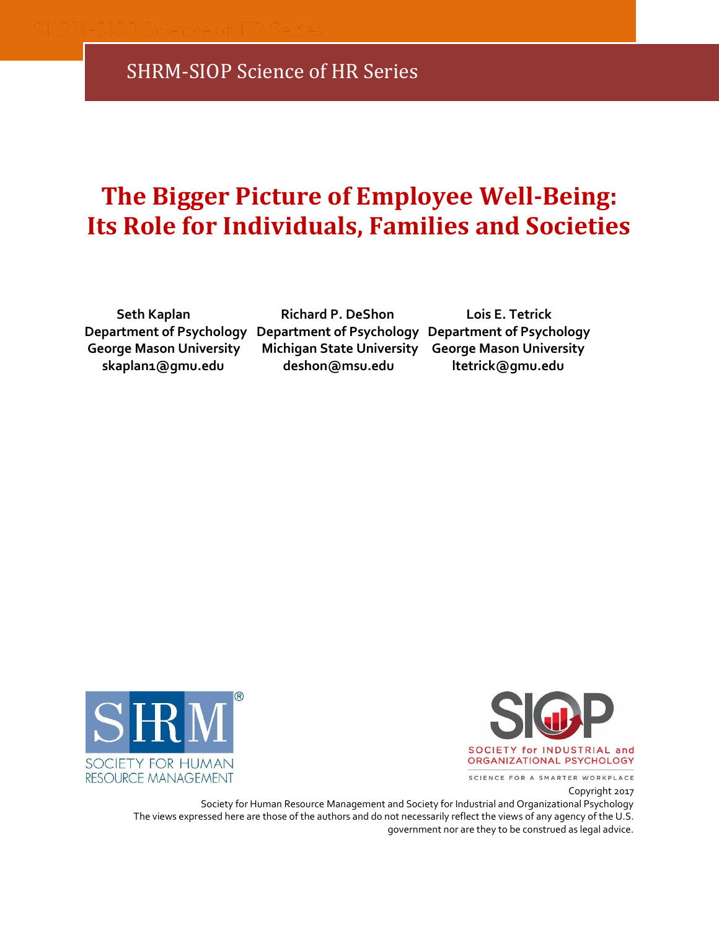# **The Bigger Picture of Employee Well-Being: Its Role for Individuals, Families and Societies**

**Department of Psychology Department of Psychology Department of Psychology George Mason University Michigan State University George Mason University**

 **Seth Kaplan Richard P. DeShon Lois E. Tetrick skaplan1@gmu.edu deshon@msu.edu ltetrick@gmu.edu**





SCIENCE FOR A SMARTER WORKPLACE

#### Copyright 2017

Society for Human Resource Management and Society for Industrial and Organizational Psychology The views expressed here are those of the authors and do not necessarily reflect the views of any agency of the U.S. government nor are they to be construed as legal advice.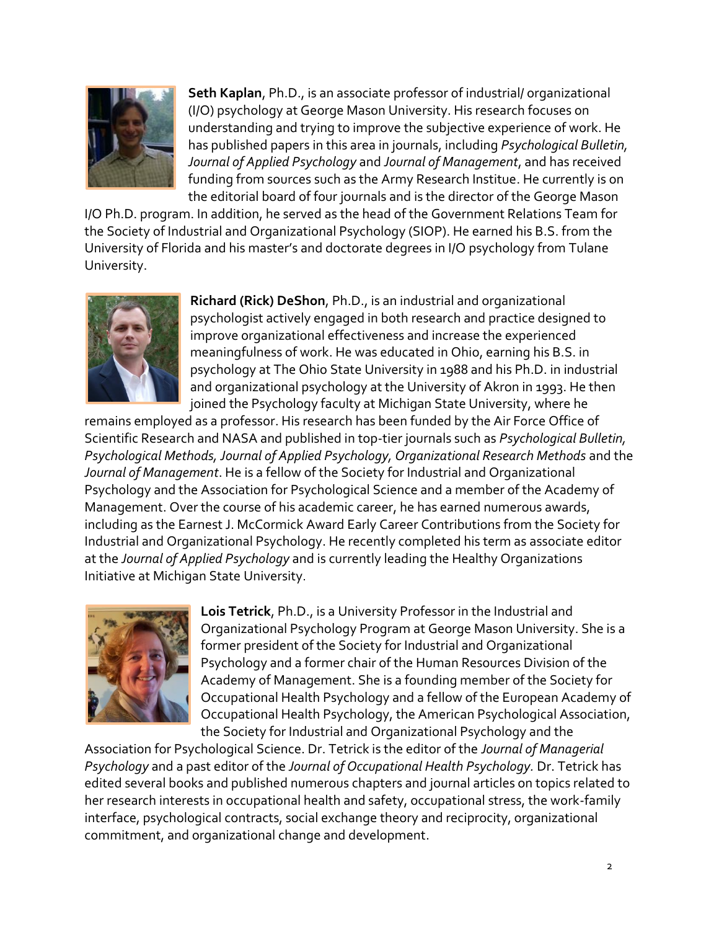

**Seth Kaplan**, Ph.D., is an associate professor of industrial/ organizational (I/O) psychology at George Mason University. His research focuses on understanding and trying to improve the subjective experience of work. He has published papers in this area in journals, including *Psychological Bulletin, Journal of Applied Psychology* and *Journal of Management*, and has received funding from sources such as the Army Research Institue. He currently is on the editorial board of four journals and is the director of the George Mason

I/O Ph.D. program. In addition, he served as the head of the Government Relations Team for the Society of Industrial and Organizational Psychology (SIOP). He earned his B.S. from the University of Florida and his master's and doctorate degrees in I/O psychology from Tulane University.



**Richard (Rick) DeShon**, Ph.D., is an industrial and organizational psychologist actively engaged in both research and practice designed to improve organizational effectiveness and increase the experienced meaningfulness of work. He was educated in Ohio, earning his B.S. in psychology at The Ohio State University in 1988 and his Ph.D. in industrial and organizational psychology at the University of Akron in 1993. He then joined the Psychology faculty at Michigan State University, where he

remains employed as a professor. His research has been funded by the Air Force Office of Scientific Research and NASA and published in top-tier journals such as *Psychological Bulletin, Psychological Methods, Journal of Applied Psychology, Organizational Research Methods* and the *Journal of Management*. He is a fellow of the Society for Industrial and Organizational Psychology and the Association for Psychological Science and a member of the Academy of Management. Over the course of his academic career, he has earned numerous awards, including as the Earnest J. McCormick Award Early Career Contributions from the Society for Industrial and Organizational Psychology. He recently completed his term as associate editor at the *Journal of Applied Psychology* and is currently leading the Healthy Organizations Initiative at Michigan State University.



**Lois Tetrick**, Ph.D., is a University Professor in the Industrial and Organizational Psychology Program at George Mason University. She is a former president of the Society for Industrial and Organizational Psychology and a former chair of the Human Resources Division of the Academy of Management. She is a founding member of the Society for Occupational Health Psychology and a fellow of the European Academy of Occupational Health Psychology, the American Psychological Association, the Society for Industrial and Organizational Psychology and the

Association for Psychological Science. Dr. Tetrick is the editor of the *Journal of Managerial Psychology* and a past editor of the *Journal of Occupational Health Psychology.* Dr. Tetrick has edited several books and published numerous chapters and journal articles on topics related to her research interests in occupational health and safety, occupational stress, the work-family interface, psychological contracts, social exchange theory and reciprocity, organizational commitment, and organizational change and development.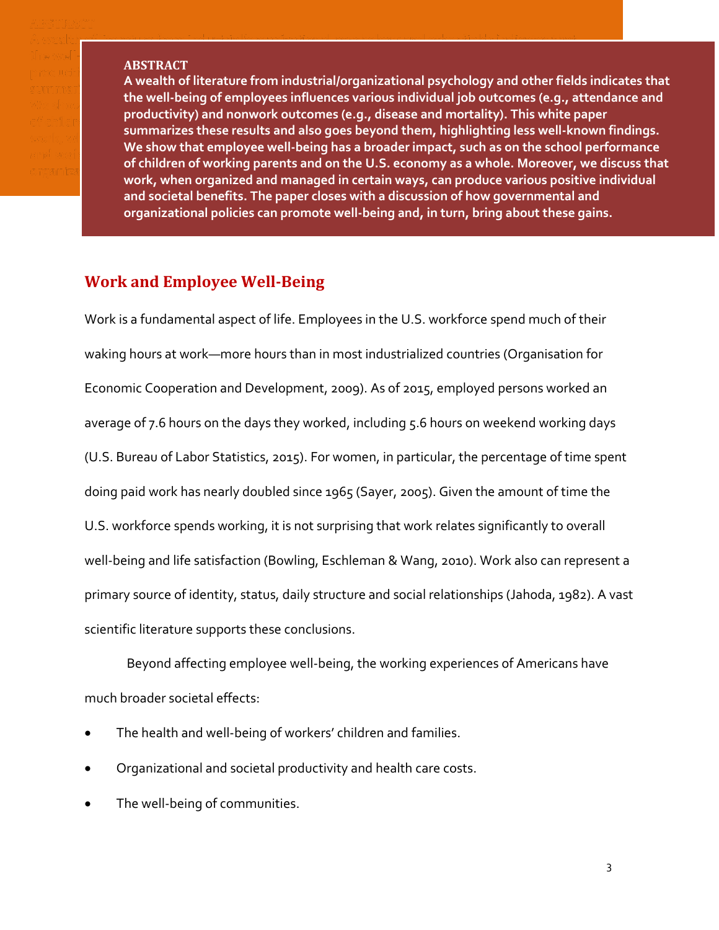#### **ABSTRACT**

**A wealth of literature from industrial/organizational psychology and other fields indicates that the well-being of employees influences various individual job outcomes (e.g., attendance and productivity) and non-work outcomes (e.g., disease and mortality). This white paper nonwork outcomes (e.g., disease and mortality). This white paper summarizes these results but also goes beyond them, highlighting less well-known findings. results and also goes beyond them, highlighting less well-known findings. We show that employee well-being has a broader impact, such as on the school performance children of working parents and on the American economy as a whole. Moreover, we discuss of children of working parents and on the U.S. economy as a whole. Moreover, we discuss that that work, when organized and managed in certain ways, can produce various positive work, when organized and managed in certain ways, can produce various positive individual individual and societal benefits. The paper closes with a discussion of how governmental and and societal benefits. The paper closes with a discussion of how governmental and organizational policies can promote well-being and, in turn, bring about these gains. well-being** 

# **Work and Employee Well-Being**

Work is a fundamental aspect of life. Employees in the U.S. workforce spend much of their waking hours at work—more hours than in most industrialized countries (Organisation for Economic Cooperation and Development, 2009). As of 2015, employed persons worked an average of 7.6 hours on the days they worked, including 5.6 hours on weekend working days (U.S. Bureau of Labor Statistics, 2015). For women, in particular, the percentage of time spent doing paid work has nearly doubled since 1965 (Sayer, 2005). Given the amount of time the U.S. workforce spends working, it is not surprising that work relates significantly to overall well-being and life satisfaction (Bowling, Eschleman & Wang, 2010). Work also can represent a primary source of identity, status, daily structure and social relationships (Jahoda, 1982). A vast scientific literature supports these conclusions.

Beyond affecting employee well-being, the working experiences of Americans have much broader societal effects:

- The health and well-being of workers' children and families.
- Organizational and societal productivity and health care costs.
- The well-being of communities.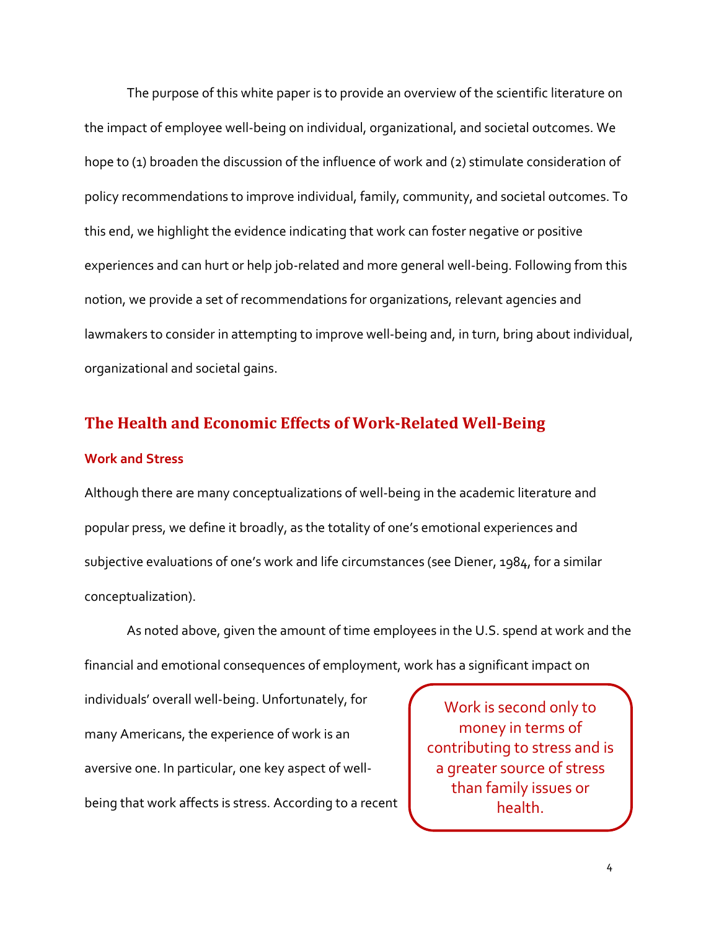The purpose of this white paper is to provide an overview of the scientific literature on the impact of employee well-being on individual, organizational, and societal outcomes. We hope to (1) broaden the discussion of the influence of work and (2) stimulate consideration of policy recommendations to improve individual, family, community, and societal outcomes. To this end, we highlight the evidence indicating that work can foster negative or positive experiences and can hurt or help job-related and more general well-being. Following from this notion, we provide a set of recommendations for organizations, relevant agencies and lawmakers to consider in attempting to improve well-being and, in turn, bring about individual, organizational and societal gains.

# **The Health and Economic Effects of Work-Related Well-Being**

#### **Work and Stress**

Although there are many conceptualizations of well-being in the academic literature and popular press, we define it broadly, as the totality of one's emotional experiences and subjective evaluations of one's work and life circumstances (see Diener, 1984, for a similar conceptualization).

As noted above, given the amount of time employees in the U.S. spend at work and the financial and emotional consequences of employment, work has a significant impact on

individuals' overall well-being. Unfortunately, for many Americans, the experience of work is an aversive one. In particular, one key aspect of wellbeing that work affects is stress. According to a recent

Work is second only to money in terms of contributing to stress and is a greater source of stress than family issues or health.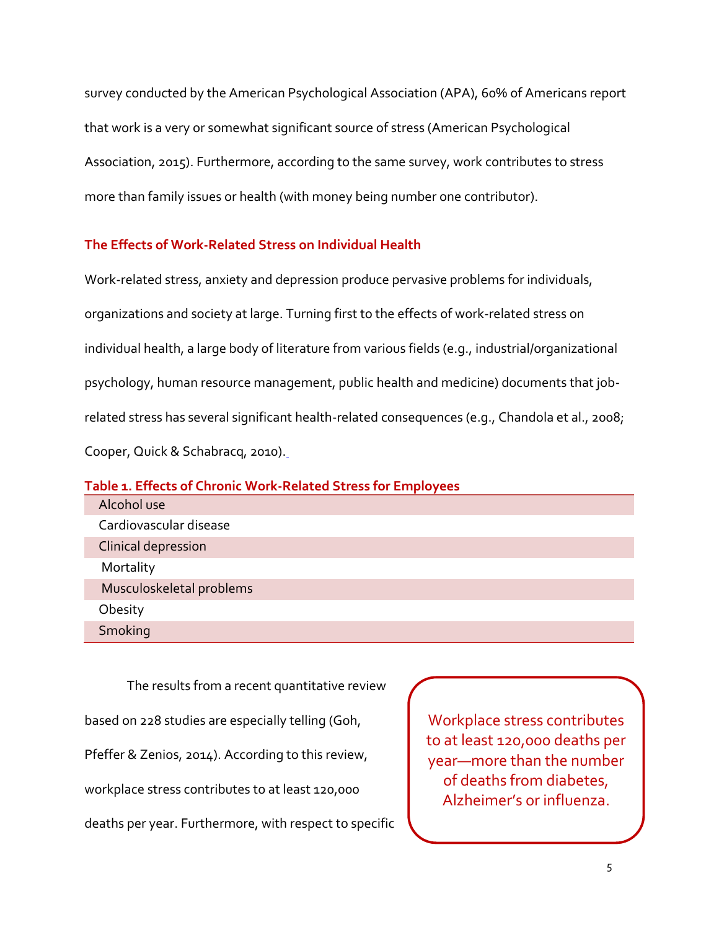survey conducted by the American Psychological Association (APA), 60% of Americans report that work is a very or somewhat significant source of stress (American Psychological Association, 2015). Furthermore, according to the same survey, work contributes to stress more than family issues or health (with money being number one contributor).

# **The Effects of Work-Related Stress on Individual Health**

Work-related stress, anxiety and depression produce pervasive problems for individuals, organizations and society at large. Turning first to the effects of work-related stress on individual health, a large body of literature from various fields (e.g., industrial/organizational psychology, human resource management, public health and medicine) documents that jobrelated stress has several significant health-related consequences (e.g., Chandola et al., 2008; Cooper, Quick & Schabracq, 2010)[.](http://www.healtheconomicsreview.com/sfx_links?ui=2191-1991-1-15&bibl=B1)

# **Table 1. Effects of Chronic Work-Related Stress for Employees**  Alcohol use Cardiovascular disease Clinical depression **Mortality**  Musculoskeletal problems **Obesity Smoking**

The results from a recent quantitative review

based on 228 studies are especially telling (Goh,

Pfeffer & Zenios, 2014). According to this review,

workplace stress contributes to at least 120,000

deaths per year. Furthermore, with respect to specific

Workplace stress contributes to at least 120,000 deaths per year—more than the number of deaths from diabetes, Alzheimer's or influenza.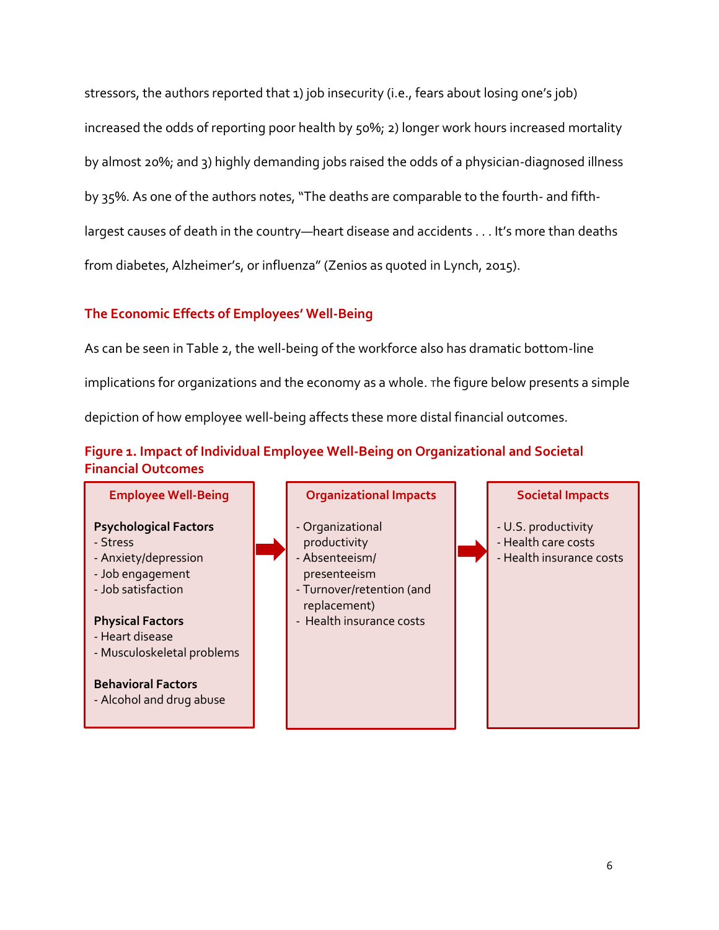stressors, the authors reported that 1) job insecurity (i.e., fears about losing one's job) increased the odds of reporting poor health by 50%; 2) longer work hours increased mortality by almost 20%; and 3) highly demanding jobs raised the odds of a physician-diagnosed illness by 35%. As one of the authors notes, "The deaths are comparable to the fourth- and fifthlargest causes of death in the country—heart disease and accidents . . . It's more than deaths from diabetes, Alzheimer's, or influenza" (Zenios as quoted in Lynch, 2015).

# **The Economic Effects of Employees' Well-Being**

As can be seen in Table 2, the well-being of the workforce also has dramatic bottom-line implications for organizations and the economy as a whole. <sup>T</sup>he figure below presents a simple depiction of how employee well-being affects these more distal financial outcomes.

# **Figure 1. Impact of Individual Employee Well-Being on Organizational and Societal Financial Outcomes**

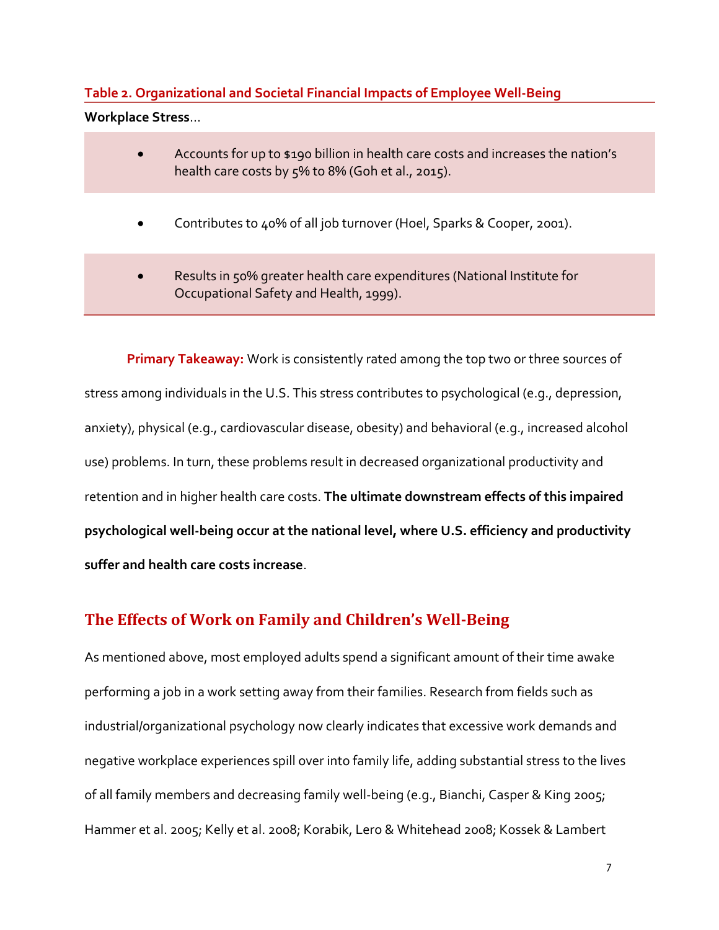# **Table 2. Organizational and Societal Financial Impacts of Employee Well-Being Workplace Stress**…

- Accounts for up to \$190 billion in health care costs and increases the nation's health care costs by 5% to 8% (Goh et al., 2015).
- Contributes to 40% of all job turnover (Hoel, Sparks & Cooper, 2001).
- Results in 50% greater health care expenditures (National Institute for Occupational Safety and Health, 1999).

**Primary Takeaway:** Work is consistently rated among the top two or three sources of stress among individuals in the U.S. This stress contributes to psychological (e.g., depression, anxiety), physical (e.g., cardiovascular disease, obesity) and behavioral (e.g., increased alcohol use) problems. In turn, these problems result in decreased organizational productivity and retention and in higher health care costs. **The ultimate downstream effects of this impaired psychological well-being occur at the national level, where U.S. efficiency and productivity suffer and health care costs increase**.

# **The Effects of Work on Family and Children's Well-Being**

As mentioned above, most employed adults spend a significant amount of their time awake performing a job in a work setting away from their families. Research from fields such as industrial/organizational psychology now clearly indicates that excessive work demands and negative workplace experiences spill over into family life, adding substantial stress to the lives of all family members and decreasing family well-being (e.g., Bianchi, Casper & King 2005; Hammer et al. 2005; Kelly et al. 2008; Korabik, Lero & Whitehead 2008; Kossek & Lambert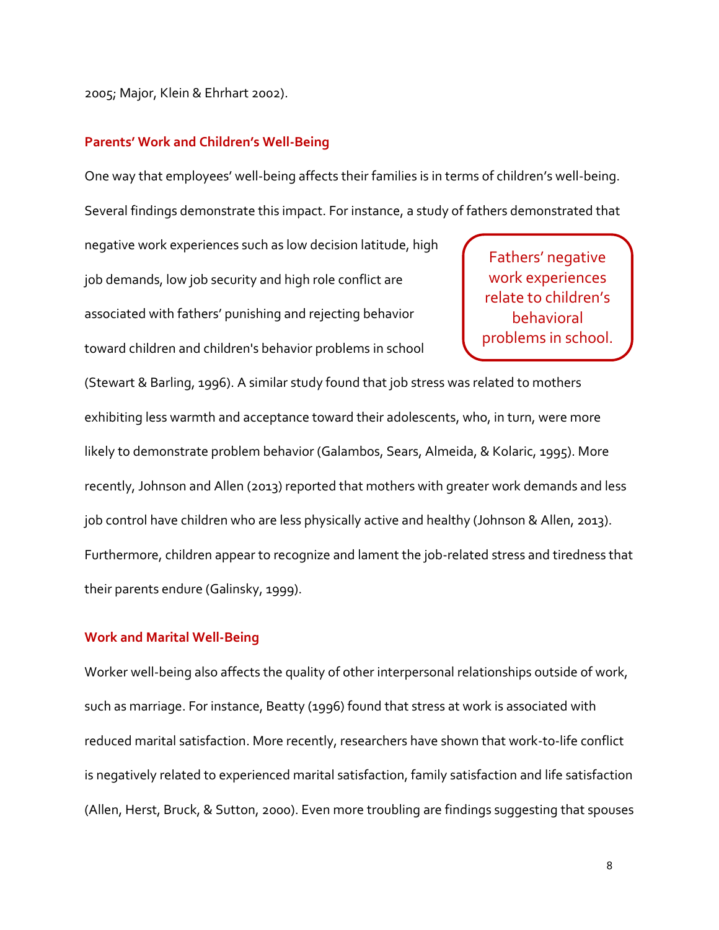2005; Major, Klein & Ehrhart 2002).

#### **Parents' Work and Children's Well-Being**

One way that employees' well-being affects their families is in terms of children's well-being. Several findings demonstrate this impact. For instance, a study of fathers demonstrated that

negative work experiences such as low decision latitude, high job demands, low job security and high role conflict are associated with fathers' punishing and rejecting behavior toward children and children's behavior problems in school

Fathers' negative work experiences relate to children's behavioral problems in school.

(Stewart & Barling, 1996). A similar study found that job stress was related to mothers exhibiting less warmth and acceptance toward their adolescents, who, in turn, were more likely to demonstrate problem behavior (Galambos, Sears, Almeida, & Kolaric, 1995). More recently, Johnson and Allen (2013) reported that mothers with greater work demands and less job control have children who are less physically active and healthy (Johnson & Allen, 2013). Furthermore, children appear to recognize and lament the job-related stress and tiredness that their parents endure (Galinsky, 1999).

#### **Work and Marital Well-Being**

Worker well-being also affects the quality of other interpersonal relationships outside of work, such as marriage. For instance, Beatty (1996) found that stress at work is associated with reduced marital satisfaction. More recently, researchers have shown that work-to-life conflict is negatively related to experienced marital satisfaction, family satisfaction and life satisfaction (Allen, Herst, Bruck, & Sutton, 2000). Even more troubling are findings suggesting that spouses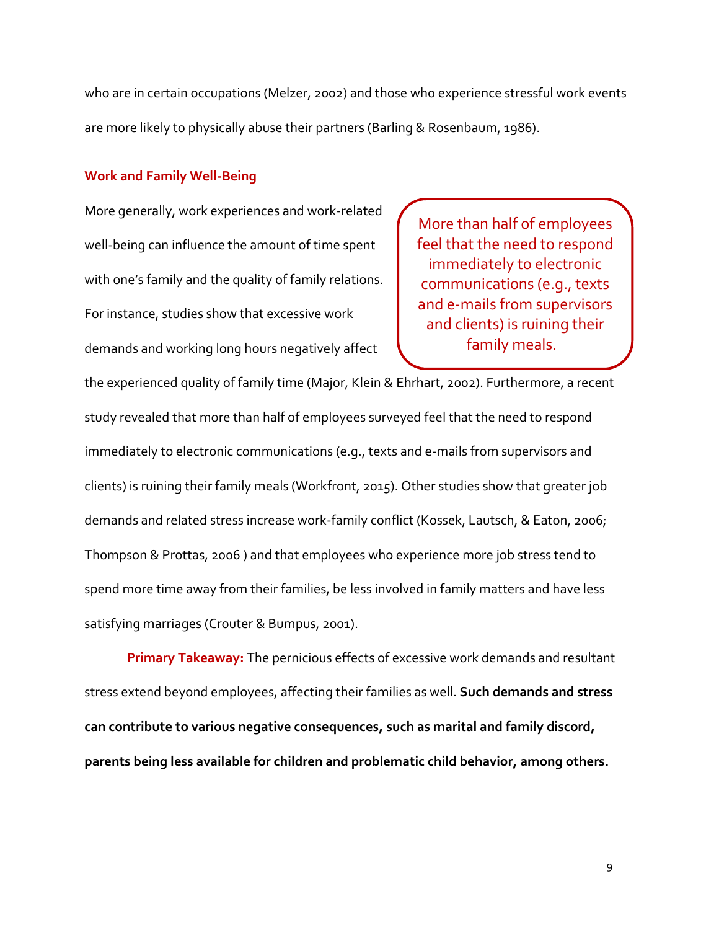who are in certain occupations (Melzer, 2002) and those who experience stressful work events are more likely to physically abuse their partners (Barling & Rosenbaum, 1986).

#### **Work and Family Well-Being**

More generally, work experiences and work-related well-being can influence the amount of time spent with one's family and the quality of family relations. For instance, studies show that excessive work demands and working long hours negatively affect

More than half of employees feel that the need to respond immediately to electronic communications (e.g., texts and e-mails from supervisors and clients) is ruining their family meals.

the experienced quality of family time (Major, Klein & Ehrhart, 2002). Furthermore, a recent study revealed that more than half of employees surveyed feel that the need to respond immediately to electronic communications (e.g., texts and e-mails from supervisors and clients) is ruining their family meals (Workfront, 2015). Other studies show that greater job demands and related stress increase work-family conflict (Kossek, Lautsch, & Eaton, 2006; Thompson & Prottas, 2006 ) and that employees who experience more job stress tend to spend more time away from their families, be less involved in family matters and have less satisfying marriages (Crouter & Bumpus, 2001).

**Primary Takeaway:** The pernicious effects of excessive work demands and resultant stress extend beyond employees, affecting their families as well. **Such demands and stress can contribute to various negative consequences, such as marital and family discord, parents being less available for children and problematic child behavior, among others.**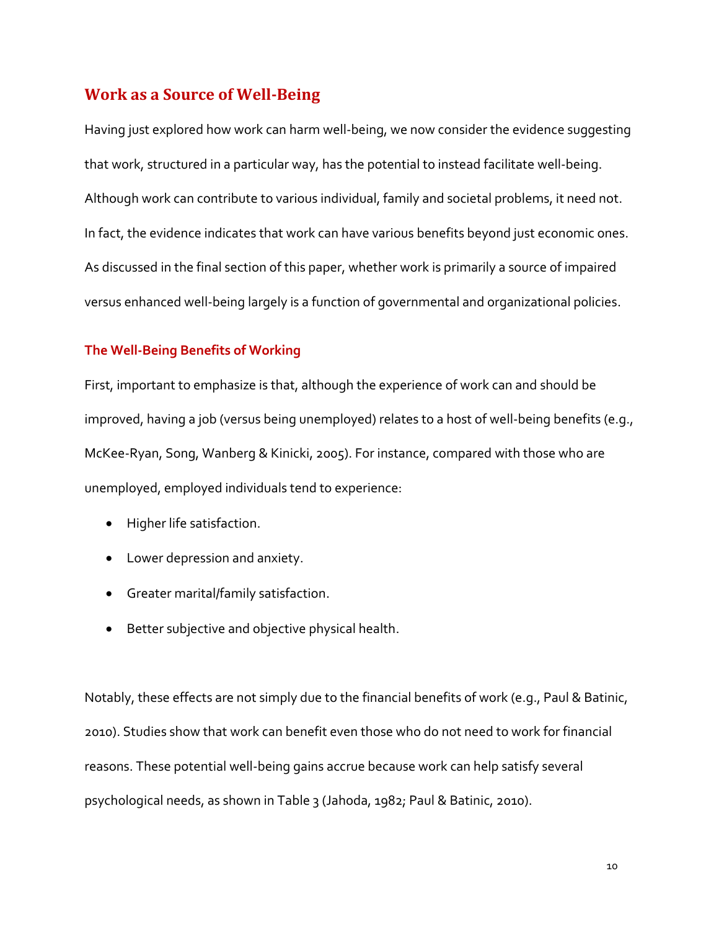# **Work as a Source of Well-Being**

Having just explored how work can harm well-being, we now consider the evidence suggesting that work, structured in a particular way, has the potential to instead facilitate well-being. Although work can contribute to various individual, family and societal problems, it need not. In fact, the evidence indicates that work can have various benefits beyond just economic ones. As discussed in the final section of this paper, whether work is primarily a source of impaired versus enhanced well-being largely is a function of governmental and organizational policies.

#### **The Well-Being Benefits of Working**

First, important to emphasize is that, although the experience of work can and should be improved, having a job (versus being unemployed) relates to a host of well-being benefits (e.g., McKee-Ryan, Song, Wanberg & Kinicki, 2005). For instance, compared with those who are unemployed, employed individuals tend to experience:

- Higher life satisfaction.
- Lower depression and anxiety.
- Greater marital/family satisfaction.
- Better subjective and objective physical health.

Notably, these effects are not simply due to the financial benefits of work (e.g., Paul & Batinic, 2010). Studies show that work can benefit even those who do not need to work for financial reasons. These potential well-being gains accrue because work can help satisfy several psychological needs, as shown in Table 3 (Jahoda, 1982; Paul & Batinic, 2010).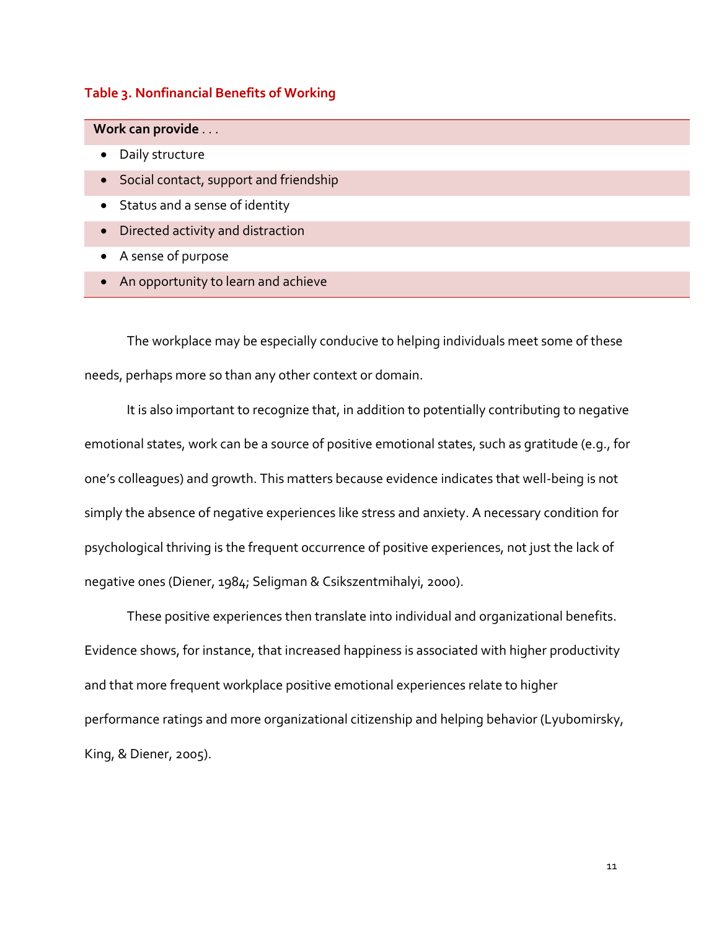#### **Table 3. Nonfinancial Benefits of Working**

 **Work can provide** . . .

- Daily structure
- Social contact, support and friendship
- Status and a sense of identity
- Directed activity and distraction
- A sense of purpose
- An opportunity to learn and achieve

The workplace may be especially conducive to helping individuals meet some of these needs, perhaps more so than any other context or domain.

It is also important to recognize that, in addition to potentially contributing to negative emotional states, work can be a source of positive emotional states, such as gratitude (e.g., for one's colleagues) and growth. This matters because evidence indicates that well-being is not simply the absence of negative experiences like stress and anxiety. A necessary condition for psychological thriving is the frequent occurrence of positive experiences, not just the lack of negative ones (Diener, 1984; Seligman & Csikszentmihalyi, 2000).

These positive experiences then translate into individual and organizational benefits. Evidence shows, for instance, that increased happiness is associated with higher productivity and that more frequent workplace positive emotional experiences relate to higher performance ratings and more organizational citizenship and helping behavior (Lyubomirsky, King, & Diener, 2005).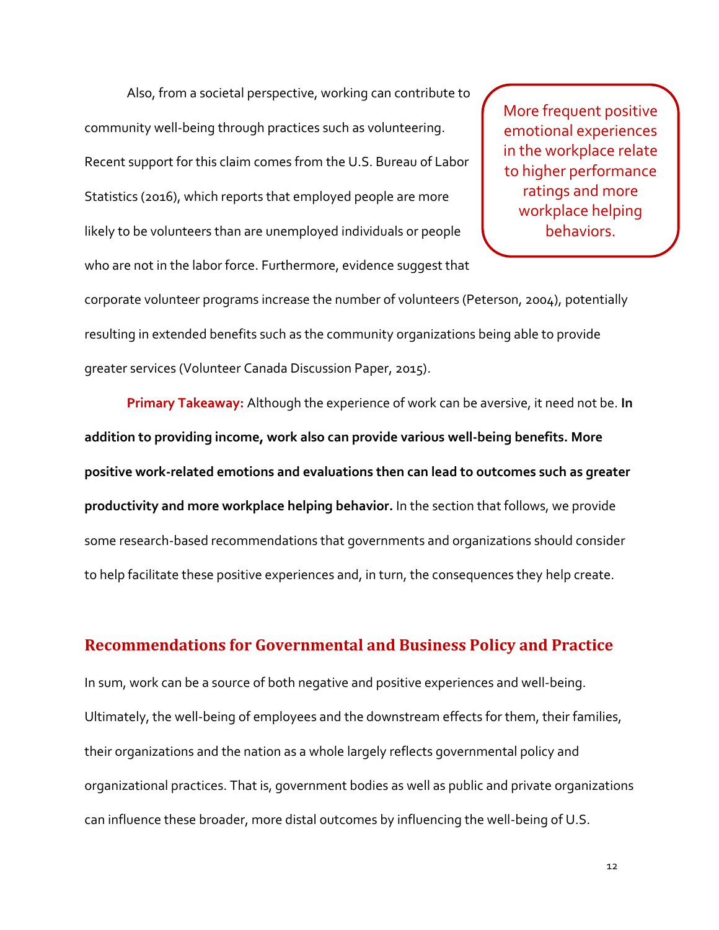Also, from a societal perspective, working can contribute to community well-being through practices such as volunteering. Recent support for this claim comes from the U.S. Bureau of Labor Statistics (2016), which reports that employed people are more likely to be volunteers than are unemployed individuals or people who are not in the labor force. Furthermore, evidence suggest that

More frequent positive emotional experiences in the workplace relate to higher performance ratings and more workplace helping behaviors.

corporate volunteer programs increase the number of volunteers (Peterson, 2004), potentially resulting in extended benefits such as the community organizations being able to provide greater services (Volunteer Canada Discussion Paper, 2015).

**Primary Takeaway:** Although the experience of work can be aversive, it need not be. **In addition to providing income, work also can provide various well-being benefits. More positive work-related emotions and evaluations then can lead to outcomes such as greater productivity and more workplace helping behavior.** In the section that follows, we provide some research-based recommendations that governments and organizations should consider to help facilitate these positive experiences and, in turn, the consequences they help create.

# **Recommendations for Governmental and Business Policy and Practice**

In sum, work can be a source of both negative and positive experiences and well-being. Ultimately, the well-being of employees and the downstream effects for them, their families, their organizations and the nation as a whole largely reflects governmental policy and organizational practices. That is, government bodies as well as public and private organizations can influence these broader, more distal outcomes by influencing the well-being of U.S.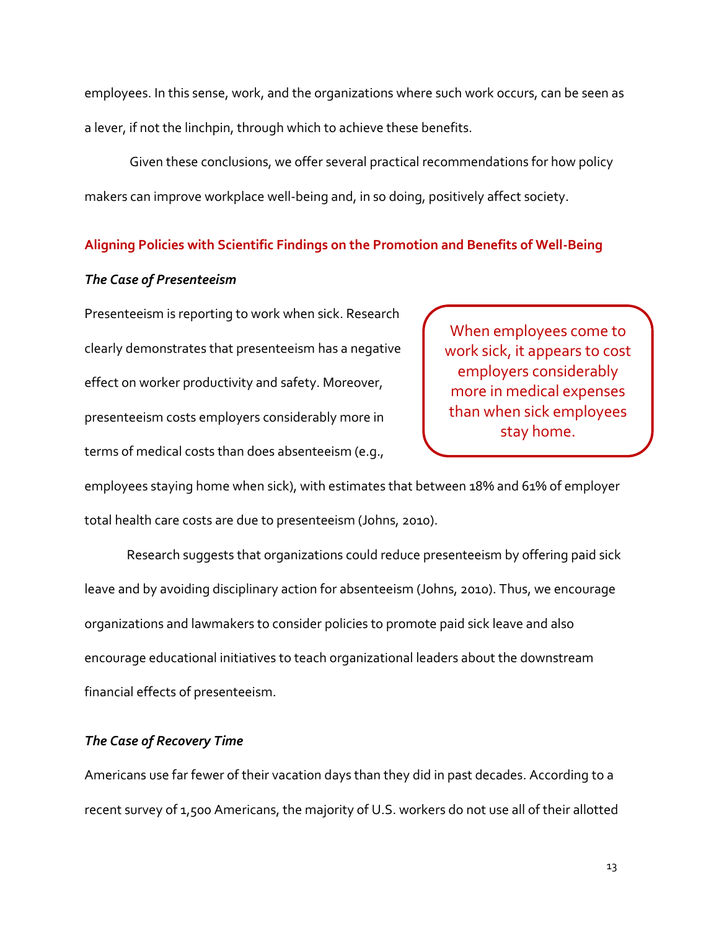employees. In this sense, work, and the organizations where such work occurs, can be seen as a lever, if not the linchpin, through which to achieve these benefits.

Given these conclusions, we offer several practical recommendations for how policy makers can improve workplace well-being and, in so doing, positively affect society.

#### **Aligning Policies with Scientific Findings on the Promotion and Benefits of Well-Being**

#### *The Case of Presenteeism*

Presenteeism is reporting to work when sick. Research clearly demonstrates that presenteeism has a negative effect on worker productivity and safety. Moreover, presenteeism costs employers considerably more in terms of medical costs than does absenteeism (e.g.,

When employees come to work sick, it appears to cost employers considerably more in medical expenses than when sick employees stay home.

employees staying home when sick), with estimates that between 18% and 61% of employer total health care costs are due to presenteeism (Johns, 2010).

Research suggests that organizations could reduce presenteeism by offering paid sick leave and by avoiding disciplinary action for absenteeism (Johns, 2010). Thus, we encourage organizations and lawmakers to consider policies to promote paid sick leave and also encourage educational initiatives to teach organizational leaders about the downstream financial effects of presenteeism.

#### *The Case of Recovery Time*

Americans use far fewer of their vacation days than they did in past decades. According to a recent survey of 1,500 Americans, the majority of U.S. workers do not use all of their allotted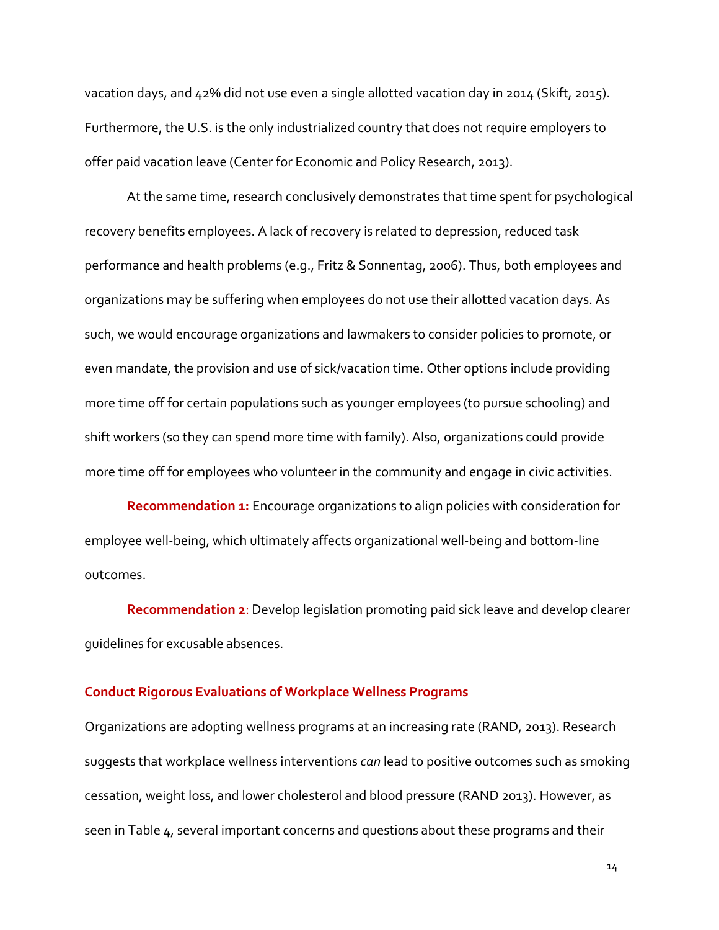vacation days, and 42% did not use even a single allotted vacation day in 2014 (Skift, 2015). Furthermore, the U.S. is the only industrialized country that does not require employers to offer paid vacation leave (Center for Economic and Policy Research, 2013).

At the same time, research conclusively demonstrates that time spent for psychological recovery benefits employees. A lack of recovery is related to depression, reduced task performance and health problems (e.g., Fritz & Sonnentag, 2006). Thus, both employees and organizations may be suffering when employees do not use their allotted vacation days. As such, we would encourage organizations and lawmakers to consider policies to promote, or even mandate, the provision and use of sick/vacation time. Other options include providing more time off for certain populations such as younger employees (to pursue schooling) and shift workers (so they can spend more time with family). Also, organizations could provide more time off for employees who volunteer in the community and engage in civic activities.

**Recommendation 1:** Encourage organizations to align policies with consideration for employee well-being, which ultimately affects organizational well-being and bottom-line outcomes.

**Recommendation 2**: Develop legislation promoting paid sick leave and develop clearer guidelines for excusable absences.

#### **Conduct Rigorous Evaluations of Workplace Wellness Programs**

Organizations are adopting wellness programs at an increasing rate (RAND, 2013). Research suggests that workplace wellness interventions *can* lead to positive outcomes such as smoking cessation, weight loss, and lower cholesterol and blood pressure (RAND 2013). However, as seen in Table 4, several important concerns and questions about these programs and their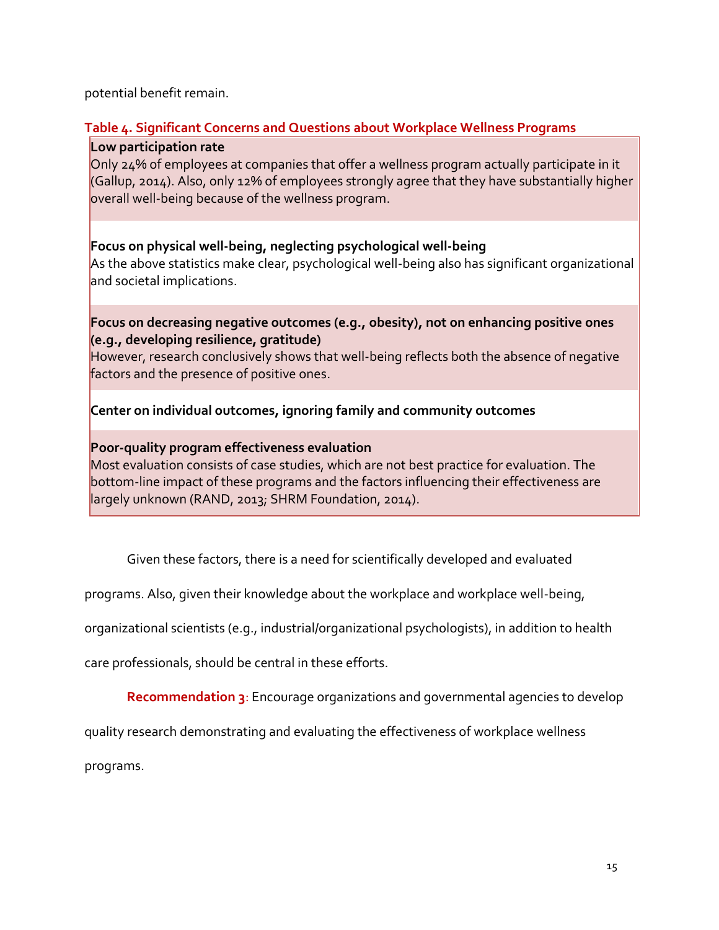potential benefit remain.

# **Table 4. Significant Concerns and Questions about Workplace Wellness Programs**

## **Low participation rate**

Only 24% of employees at companies that offer a wellness program actually participate in it (Gallup, 2014). Also, only 12% of employees strongly agree that they have substantially higher overall well-being because of the wellness program.

# **Focus on physical well-being, neglecting psychological well-being**

As the above statistics make clear, psychological well-being also has significant organizational and societal implications.

# **Focus on decreasing negative outcomes (e.g., obesity), not on enhancing positive ones (e.g., developing resilience, gratitude)**

However, research conclusively shows that well-being reflects both the absence of negative factors and the presence of positive ones.

# **Center on individual outcomes, ignoring family and community outcomes**

## **Poor-quality program effectiveness evaluation**

Most evaluation consists of case studies, which are not best practice for evaluation. The bottom-line impact of these programs and the factors influencing their effectiveness are largely unknown (RAND, 2013; SHRM Foundation, 2014).

Given these factors, there is a need for scientifically developed and evaluated

programs. Also, given their knowledge about the workplace and workplace well-being,

organizational scientists (e.g., industrial/organizational psychologists), in addition to health

care professionals, should be central in these efforts.

**Recommendation 3**: Encourage organizations and governmental agencies to develop

quality research demonstrating and evaluating the effectiveness of workplace wellness

programs.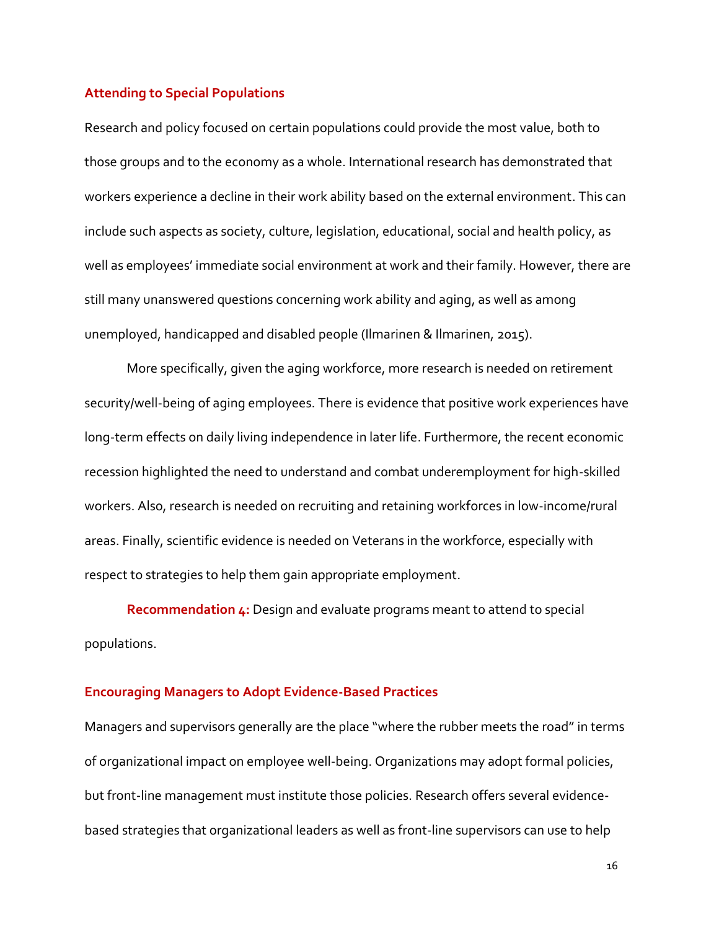#### **Attending to Special Populations**

Research and policy focused on certain populations could provide the most value, both to those groups and to the economy as a whole. International research has demonstrated that workers experience a decline in their work ability based on the external environment. This can include such aspects as society, culture, legislation, educational, social and health policy, as well as employees' immediate social environment at work and their family. However, there are still many unanswered questions concerning work ability and aging, as well as among unemployed, handicapped and disabled people (Ilmarinen & Ilmarinen, 2015).

More specifically, given the aging workforce, more research is needed on retirement security/well-being of aging employees. There is evidence that positive work experiences have long-term effects on daily living independence in later life. Furthermore, the recent economic recession highlighted the need to understand and combat underemployment for high-skilled workers. Also, research is needed on recruiting and retaining workforces in low-income/rural areas. Finally, scientific evidence is needed on Veterans in the workforce, especially with respect to strategies to help them gain appropriate employment.

**Recommendation 4:** Design and evaluate programs meant to attend to special populations.

#### **Encouraging Managers to Adopt Evidence-Based Practices**

Managers and supervisors generally are the place "where the rubber meets the road" in terms of organizational impact on employee well-being. Organizations may adopt formal policies, but front-line management must institute those policies. Research offers several evidencebased strategies that organizational leaders as well as front-line supervisors can use to help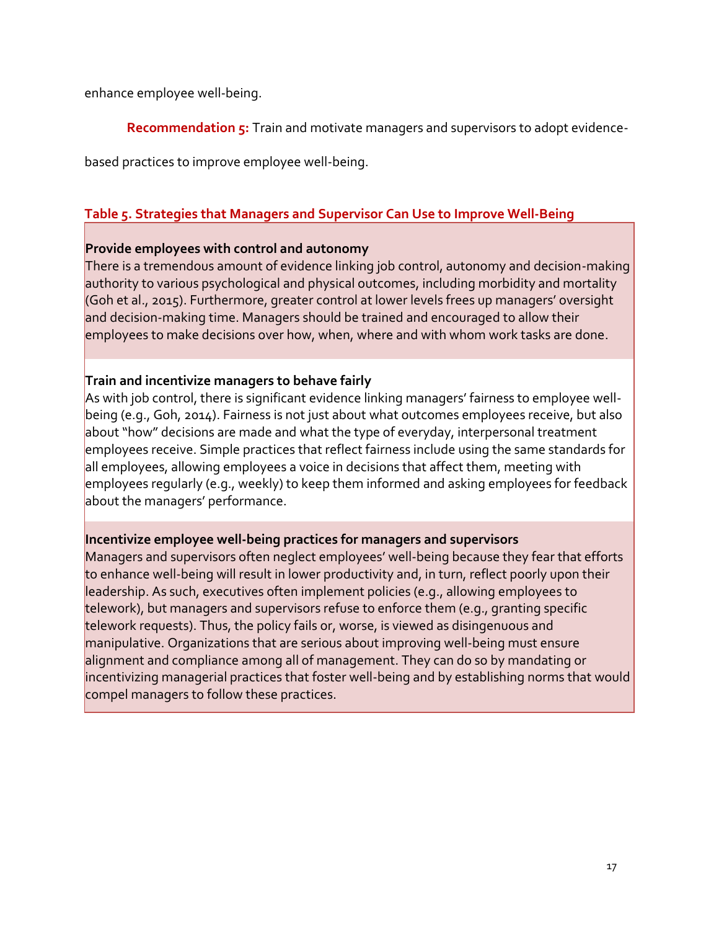enhance employee well-being.

**Recommendation 5:** Train and motivate managers and supervisors to adopt evidence-

based practices to improve employee well-being.

# **Table 5. Strategies that Managers and Supervisor Can Use to Improve Well-Being**

## **Provide employees with control and autonomy**

There is a tremendous amount of evidence linking job control, autonomy and decision-making authority to various psychological and physical outcomes, including morbidity and mortality (Goh et al., 2015). Furthermore, greater control at lower levels frees up managers' oversight and decision-making time. Managers should be trained and encouraged to allow their employees to make decisions over how, when, where and with whom work tasks are done.

# **Train and incentivize managers to behave fairly**

As with job control, there is significant evidence linking managers' fairness to employee wellbeing (e.g., Goh, 2014). Fairness is not just about what outcomes employees receive, but also about "how" decisions are made and what the type of everyday, interpersonal treatment employees receive. Simple practices that reflect fairness include using the same standards for all employees, allowing employees a voice in decisions that affect them, meeting with employees regularly (e.g., weekly) to keep them informed and asking employees for feedback about the managers' performance.

# **Incentivize employee well-being practices for managers and supervisors**

Managers and supervisors often neglect employees' well-being because they fear that efforts to enhance well-being will result in lower productivity and, in turn, reflect poorly upon their leadership. As such, executives often implement policies (e.g., allowing employees to telework), but managers and supervisors refuse to enforce them (e.g., granting specific telework requests). Thus, the policy fails or, worse, is viewed as disingenuous and manipulative. Organizations that are serious about improving well-being must ensure alignment and compliance among all of management. They can do so by mandating or incentivizing managerial practices that foster well-being and by establishing norms that would compel managers to follow these practices.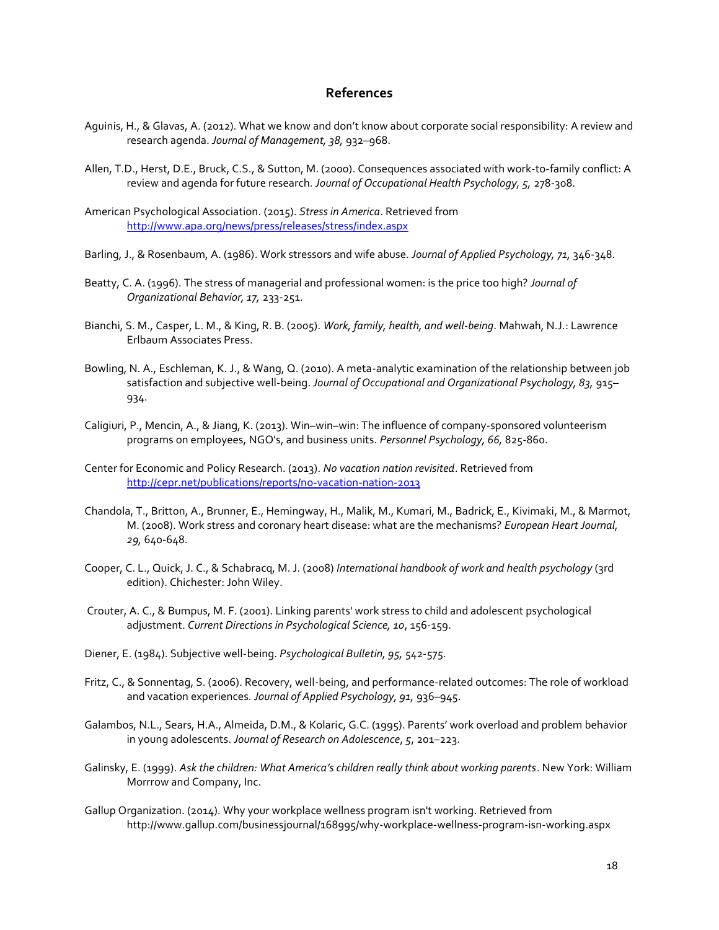#### **References**

- Aguinis, H., & Glavas, A. (2012). What we know and don't know about corporate social responsibility: A review and research agenda. *Journal of Management, 38,* 932–968.
- Allen, T.D., Herst, D.E., Bruck, C.S., & Sutton, M. (2000). Consequences associated with work-to-family conflict: A review and agenda for future research. *Journal of Occupational Health Psychology, 5,* 278-308.
- American Psychological Association. (2015). *Stress in America*. Retrieved from <http://www.apa.org/news/press/releases/stress/index.aspx>
- Barling, J., & Rosenbaum, A. (1986). Work stressors and wife abuse. *Journal of Applied Psychology, 71,* 346-348.
- Beatty, C. A. (1996). The stress of managerial and professional women: is the price too high? *Journal of Organizational Behavior, 17,* 233-251.
- Bianchi, S. M., Casper, L. M., & King, R. B. (2005). *Work, family, health, and well-being*. Mahwah, N.J.: Lawrence Erlbaum Associates Press.
- Bowling, N. A., Eschleman, K. J., & Wang, Q. (2010). A meta-analytic examination of the relationship between job satisfaction and subjective well-being. *Journal of Occupational and Organizational Psychology, 83,* 915– 934.
- Caligiuri, P., Mencin, A., & Jiang, K. (2013). Win–win–win: The influence of company-sponsored volunteerism programs on employees, NGO's, and business units. *Personnel Psychology, 66,* 825-860.
- Center for Economic and Policy Research. (2013). *No vacation nation revisited*. Retrieved from <http://cepr.net/publications/reports/no-vacation-nation-2013>
- Chandola, T., Britton, A., Brunner, E., Hemingway, H., Malik, M., Kumari, M., Badrick, E., Kivimaki, M., & Marmot, M. (2008). Work stress and coronary heart disease: what are the mechanisms? *European Heart Journal, 29,* 640-648.
- Cooper, C. L., Quick, J. C., & Schabracq, M. J. (2008) *International handbook of work and health psychology* (3rd edition). Chichester: John Wiley.
- Crouter, A. C., & Bumpus, M. F. (2001). Linking parents' work stress to child and adolescent psychological adjustment. *Current Directions in Psychological Science, 10*, 156-159.
- Diener, E. (1984). Subjective well-being. *Psychological Bulletin, 95,* 542-575.
- Fritz, C., & Sonnentag, S. (2006). Recovery, well-being, and performance-related outcomes: The role of workload and vacation experiences. *Journal of Applied Psychology, 91,* 936–945.
- Galambos, N.L., Sears, H.A., Almeida, D.M., & Kolaric, G.C. (1995). Parents' work overload and problem behavior in young adolescents. *Journal of Research on Adolescence*, *5*, 201–223.
- Galinsky, E. (1999). *Ask the children: What America's children really think about working parents*. New York: William Morrrow and Company, Inc.
- Gallup Organization. (2014). Why your workplace wellness program isn't working. Retrieved from http://www.gallup.com/businessjournal/168995/why-workplace-wellness-program-isn-working.aspx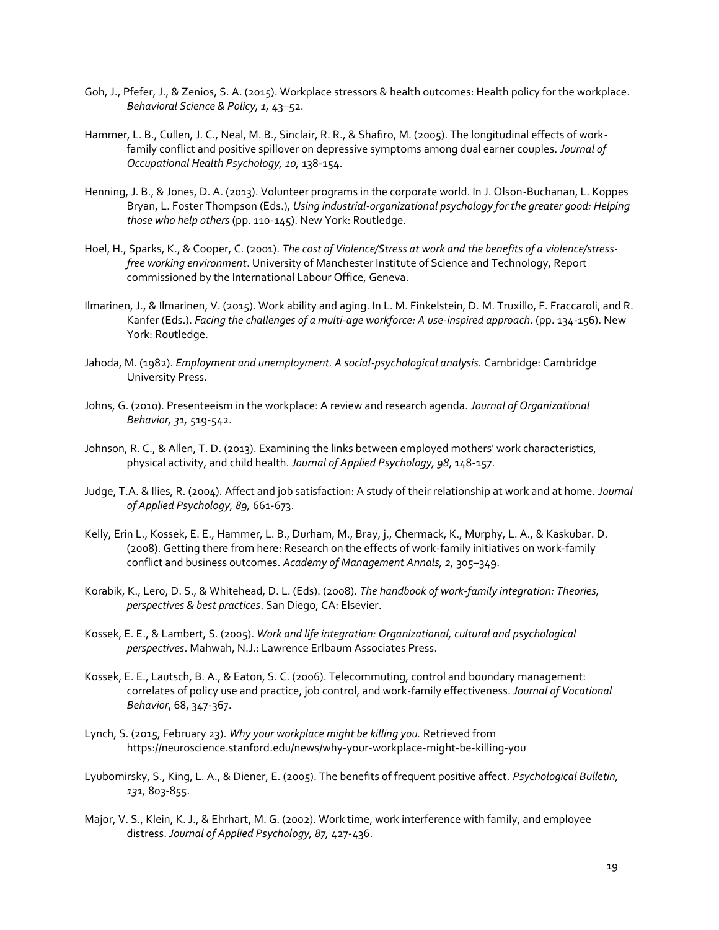- Goh, J., Pfefer, J., & Zenios, S. A. (2015). Workplace stressors & health outcomes: Health policy for the workplace. *Behavioral Science & Policy, 1,* 43–52.
- Hammer, L. B., Cullen, J. C., Neal, M. B., Sinclair, R. R., & Shafiro, M. (2005). The longitudinal effects of workfamily conflict and positive spillover on depressive symptoms among dual earner couples. *Journal of Occupational Health Psychology, 10,* 138-154.
- Henning, J. B., & Jones, D. A. (2013). Volunteer programs in the corporate world. In J. Olson-Buchanan, L. Koppes Bryan, L. Foster Thompson (Eds.), *Using industrial-organizational psychology for the greater good: Helping those who help others* (pp. 110-145). New York: Routledge.
- Hoel, H., Sparks, K., & Cooper, C. (2001). *The cost of Violence/Stress at work and the benefits of a violence/stressfree working environment*. University of Manchester Institute of Science and Technology, Report commissioned by the International Labour Office, Geneva.
- Ilmarinen, J., & Ilmarinen, V. (2015). Work ability and aging. In L. M. Finkelstein, D. M. Truxillo, F. Fraccaroli, and R. Kanfer (Eds.). *Facing the challenges of a multi-age workforce: A use-inspired approach*. (pp. 134-156). New York: Routledge.
- Jahoda, M. (1982). *Employment and unemployment. A social-psychological analysis.* Cambridge: Cambridge University Press.
- Johns, G. (2010). Presenteeism in the workplace: A review and research agenda. *Journal of Organizational Behavior, 31,* 519-542.
- Johnson, R. C., & Allen, T. D. (2013). Examining the links between employed mothers' work characteristics, physical activity, and child health. *Journal of Applied Psychology, 98*, 148-157.
- Judge, T.A. & Ilies, R. (2004). Affect and job satisfaction: A study of their relationship at work and at home. *Journal of Applied Psychology, 89,* 661-673.
- Kelly, Erin L., Kossek, E. E., Hammer, L. B., Durham, M., Bray, j., Chermack, K., Murphy, L. A., & Kaskubar. D. (2008). Getting there from here: Research on the effects of work-family initiatives on work-family conflict and business outcomes. *Academy of Management Annals, 2,* 305–349.
- Korabik, K., Lero, D. S., & Whitehead, D. L. (Eds). (2008). *The handbook of work-family integration: Theories, perspectives & best practices*. San Diego, CA: Elsevier.
- Kossek, E. E., & Lambert, S. (2005). *Work and life integration: Organizational, cultural and psychological perspectives*. Mahwah, N.J.: Lawrence Erlbaum Associates Press.
- Kossek, E. E., Lautsch, B. A., & Eaton, S. C. (2006). Telecommuting, control and boundary management: correlates of policy use and practice, job control, and work-family effectiveness. *Journal of Vocational Behavior*, 68, 347-367.
- Lynch, S. (2015, February 23). *Why your workplace might be killing you.* Retrieved from https://neuroscience.stanford.edu/news/why-your-workplace-might-be-killing-you
- Lyubomirsky, S., King, L. A., & Diener, E. (2005). The benefits of frequent positive affect. *Psychological Bulletin, 131,* 803-855.
- Major, V. S., Klein, K. J., & Ehrhart, M. G. (2002). Work time, work interference with family, and employee distress. *Journal of Applied Psychology, 87,* 427-436.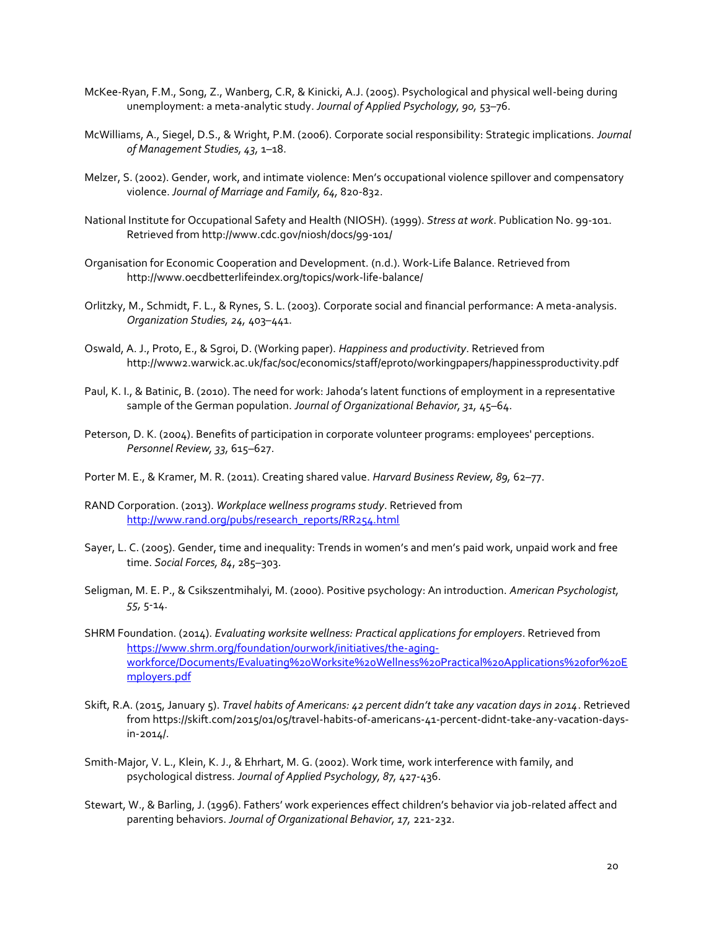- McKee-Ryan, F.M., Song, Z., Wanberg, C.R, & Kinicki, A.J. (2005). Psychological and physical well-being during unemployment: a meta-analytic study. *Journal of Applied Psychology, 90,* 53–76.
- McWilliams, A., Siegel, D.S., & Wright, P.M. (2006). Corporate social responsibility: Strategic implications. *Journal of Management Studies, 43,* 1–18.
- Melzer, S. (2002). Gender, work, and intimate violence: Men's occupational violence spillover and compensatory violence. *Journal of Marriage and Family, 64,* 820-832.
- National Institute for Occupational Safety and Health (NIOSH). (1999). *Stress at work*. Publication No. 99-101. Retrieved from http://www.cdc.gov/niosh/docs/99-101/
- Organisation for Economic Cooperation and Development. (n.d.). Work-Life Balance. Retrieved from http://www.oecdbetterlifeindex.org/topics/work-life-balance/
- Orlitzky, M., Schmidt, F. L., & Rynes, S. L. (2003). Corporate social and financial performance: A meta-analysis. *Organization Studies, 24,* 403–441.
- Oswald, A. J., Proto, E., & Sgroi, D. (Working paper). *Happiness and productivity*. Retrieved from http://www2.warwick.ac.uk/fac/soc/economics/staff/eproto/workingpapers/happinessproductivity.pdf
- Paul, K. I., & Batinic, B. (2010). The need for work: Jahoda's latent functions of employment in a representative sample of the German population. *Journal of Organizational Behavior, 31,* 45–64.
- Peterson, D. K. (2004). Benefits of participation in corporate volunteer programs: employees' perceptions. *Personnel Review, 33,* 615–627.
- Porter M. E., & Kramer, M. R. (2011). Creating shared value. *Harvard Business Review, 89,* 62–77.
- RAND Corporation. (2013). *Workplace wellness programs study*. Retrieved from [http://www.rand.org/pubs/research\\_reports/RR254.html](http://www.rand.org/pubs/research_reports/RR254.html)
- Sayer, L. C. (2005). Gender, time and inequality: Trends in women's and men's paid work, unpaid work and free time. *Social Forces, 84*, 285–303.
- Seligman, M. E. P., & Csikszentmihalyi, M. (2000). Positive psychology: An introduction. *American Psychologist, 55,* 5-14.
- SHRM Foundation. (2014). *Evaluating worksite wellness: Practical applications for employers*. Retrieved from [https://www.shrm.org/foundation/ourwork/initiatives/the-aging](https://www.shrm.org/foundation/ourwork/initiatives/the-aging-workforce/Documents/Evaluating%20Worksite%20Wellness%20Practical%20Applications%20for%20Employers.pdf)[workforce/Documents/Evaluating%20Worksite%20Wellness%20Practical%20Applications%20for%20E](https://www.shrm.org/foundation/ourwork/initiatives/the-aging-workforce/Documents/Evaluating%20Worksite%20Wellness%20Practical%20Applications%20for%20Employers.pdf) [mployers.pdf](https://www.shrm.org/foundation/ourwork/initiatives/the-aging-workforce/Documents/Evaluating%20Worksite%20Wellness%20Practical%20Applications%20for%20Employers.pdf)
- Skift, R.A. (2015, January 5). *Travel habits of Americans: 42 percent didn't take any vacation days in 2014*. Retrieved from https://skift.com/2015/01/05/travel-habits-of-americans-41-percent-didnt-take-any-vacation-daysin-2014/.
- Smith-Major, V. L., Klein, K. J., & Ehrhart, M. G. (2002). Work time, work interference with family, and psychological distress. *Journal of Applied Psychology, 87,* 427-436.
- Stewart, W., & Barling, J. (1996). Fathers' work experiences effect children's behavior via job-related affect and parenting behaviors. *Journal of Organizational Behavior, 17,* 221-232.